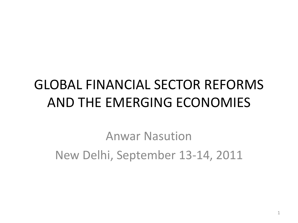#### GLOBAL FINANCIAL SECTOR REFORMS AND THE EMERGING ECONOMIES

Anwar Nasution New Delhi, September 13-14, 2011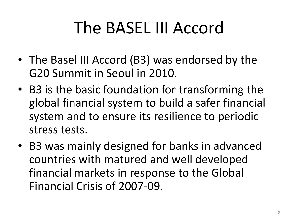## The BASEL III Accord

- The Basel III Accord (B3) was endorsed by the G20 Summit in Seoul in 2010.
- B3 is the basic foundation for transforming the global financial system to build a safer financial system and to ensure its resilience to periodic stress tests.
- B3 was mainly designed for banks in advanced countries with matured and well developed financial markets in response to the Global Financial Crisis of 2007-09.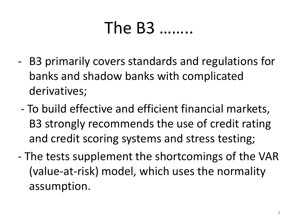### The B3 ……..

- B3 primarily covers standards and regulations for banks and shadow banks with complicated derivatives;
- To build effective and efficient financial markets, B3 strongly recommends the use of credit rating and credit scoring systems and stress testing;
- The tests supplement the shortcomings of the VAR (value-at-risk) model, which uses the normality assumption.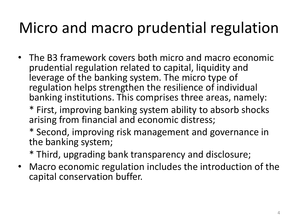### Micro and macro prudential regulation

- The B3 framework covers both micro and macro economic prudential regulation related to capital, liquidity and leverage of the banking system. The micro type of regulation helps strengthen the resilience of individual banking institutions. This comprises three areas, namely:
	- \* First, improving banking system ability to absorb shocks arising from financial and economic distress;
	- \* Second, improving risk management and governance in the banking system;
	- \* Third, upgrading bank transparency and disclosure;
- Macro economic regulation includes the introduction of the capital conservation buffer.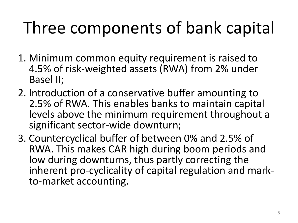# Three components of bank capital

- 1. Minimum common equity requirement is raised to 4.5% of risk-weighted assets (RWA) from 2% under Basel II;
- 2. Introduction of a conservative buffer amounting to 2.5% of RWA. This enables banks to maintain capital levels above the minimum requirement throughout a significant sector-wide downturn;
- 3. Countercyclical buffer of between 0% and 2.5% of RWA. This makes CAR high during boom periods and low during downturns, thus partly correcting the inherent pro-cyclicality of capital regulation and markto-market accounting.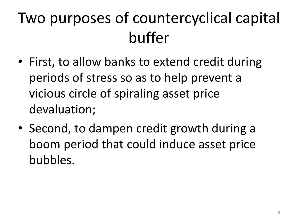### Two purposes of countercyclical capital buffer

- First, to allow banks to extend credit during periods of stress so as to help prevent a vicious circle of spiraling asset price devaluation;
- Second, to dampen credit growth during a boom period that could induce asset price bubbles.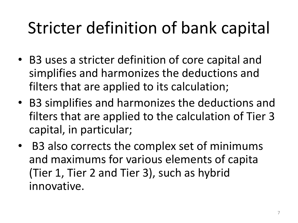## Stricter definition of bank capital

- B3 uses a stricter definition of core capital and simplifies and harmonizes the deductions and filters that are applied to its calculation;
- B3 simplifies and harmonizes the deductions and filters that are applied to the calculation of Tier 3 capital, in particular;
- B3 also corrects the complex set of minimums and maximums for various elements of capita (Tier 1, Tier 2 and Tier 3), such as hybrid innovative.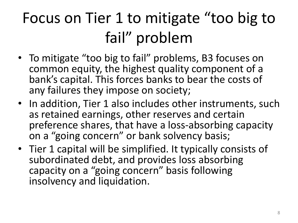## Focus on Tier 1 to mitigate "too big to fail" problem

- To mitigate "too big to fail" problems, B3 focuses on common equity, the highest quality component of a bank's capital. This forces banks to bear the costs of any failures they impose on society;
- In addition, Tier 1 also includes other instruments, such as retained earnings, other reserves and certain preference shares, that have a loss-absorbing capacity on a "going concern" or bank solvency basis;
- Tier 1 capital will be simplified. It typically consists of subordinated debt, and provides loss absorbing capacity on a "going concern" basis following insolvency and liquidation.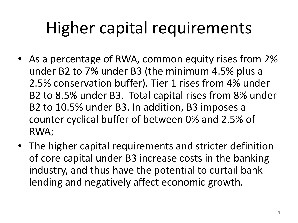## Higher capital requirements

- As a percentage of RWA, common equity rises from 2% under B2 to 7% under B3 (the minimum 4.5% plus a 2.5% conservation buffer). Tier 1 rises from 4% under B2 to 8.5% under B3. Total capital rises from 8% under B2 to 10.5% under B3. In addition, B3 imposes a counter cyclical buffer of between 0% and 2.5% of RWA;
- The higher capital requirements and stricter definition of core capital under B3 increase costs in the banking industry, and thus have the potential to curtail bank lending and negatively affect economic growth.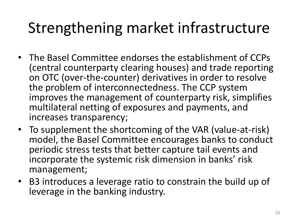#### Strengthening market infrastructure

- The Basel Committee endorses the establishment of CCPs (central counterparty clearing houses) and trade reporting on OTC (over-the-counter) derivatives in order to resolve the problem of interconnectedness. The CCP system improves the management of counterparty risk, simplifies multilateral netting of exposures and payments, and increases transparency;
- To supplement the shortcoming of the VAR (value-at-risk) model, the Basel Committee encourages banks to conduct periodic stress tests that better capture tail events and incorporate the systemic risk dimension in banks' risk management;
- B3 introduces a leverage ratio to constrain the build up of leverage in the banking industry.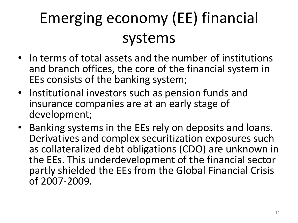## Emerging economy (EE) financial systems

- In terms of total assets and the number of institutions and branch offices, the core of the financial system in EEs consists of the banking system;
- Institutional investors such as pension funds and insurance companies are at an early stage of development;
- Banking systems in the EEs rely on deposits and loans. Derivatives and complex securitization exposures such as collateralized debt obligations (CDO) are unknown in the EEs. This underdevelopment of the financial sector partly shielded the EEs from the Global Financial Crisis of 2007-2009.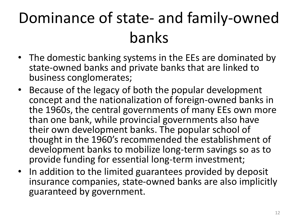## Dominance of state- and family-owned banks

- The domestic banking systems in the EEs are dominated by state-owned banks and private banks that are linked to business conglomerates;
- Because of the legacy of both the popular development concept and the nationalization of foreign-owned banks in the 1960s, the central governments of many EEs own more than one bank, while provincial governments also have their own development banks. The popular school of thought in the 1960's recommended the establishment of development banks to mobilize long-term savings so as to provide funding for essential long-term investment;
- In addition to the limited guarantees provided by deposit insurance companies, state-owned banks are also implicitly guaranteed by government.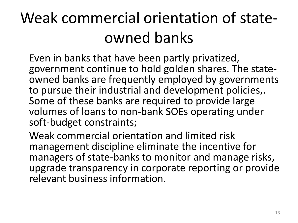### Weak commercial orientation of stateowned banks

Even in banks that have been partly privatized, government continue to hold golden shares. The stateowned banks are frequently employed by governments to pursue their industrial and development policies,. Some of these banks are required to provide large volumes of loans to non-bank SOEs operating under soft-budget constraints;

Weak commercial orientation and limited risk management discipline eliminate the incentive for managers of state-banks to monitor and manage risks, upgrade transparency in corporate reporting or provide relevant business information.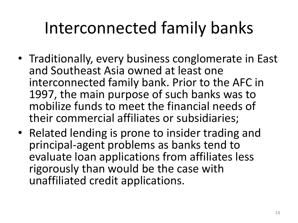## Interconnected family banks

- Traditionally, every business conglomerate in East and Southeast Asia owned at least one interconnected family bank. Prior to the AFC in 1997, the main purpose of such banks was to mobilize funds to meet the financial needs of their commercial affiliates or subsidiaries;
- Related lending is prone to insider trading and principal-agent problems as banks tend to evaluate loan applications from affiliates less rigorously than would be the case with unaffiliated credit applications.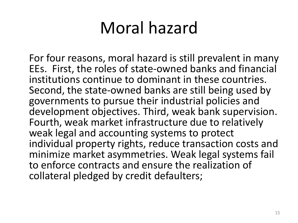## Moral hazard

For four reasons, moral hazard is still prevalent in many EEs. First, the roles of state-owned banks and financial institutions continue to dominant in these countries. Second, the state-owned banks are still being used by governments to pursue their industrial policies and development objectives. Third, weak bank supervision. Fourth, weak market infrastructure due to relatively weak legal and accounting systems to protect individual property rights, reduce transaction costs and minimize market asymmetries. Weak legal systems fail to enforce contracts and ensure the realization of collateral pledged by credit defaulters;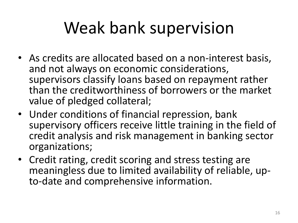## Weak bank supervision

- As credits are allocated based on a non-interest basis, and not always on economic considerations, supervisors classify loans based on repayment rather than the creditworthiness of borrowers or the market value of pledged collateral;
- Under conditions of financial repression, bank supervisory officers receive little training in the field of credit analysis and risk management in banking sector organizations;
- Credit rating, credit scoring and stress testing are meaningless due to limited availability of reliable, upto-date and comprehensive information.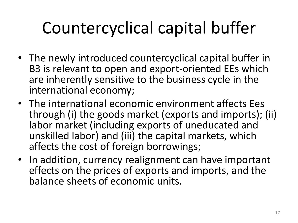# Countercyclical capital buffer

- The newly introduced countercyclical capital buffer in B3 is relevant to open and export-oriented EEs which are inherently sensitive to the business cycle in the international economy;
- The international economic environment affects Ees through (i) the goods market (exports and imports); (ii) labor market (including exports of uneducated and unskilled labor) and (iii) the capital markets, which affects the cost of foreign borrowings;
- In addition, currency realignment can have important effects on the prices of exports and imports, and the balance sheets of economic units.